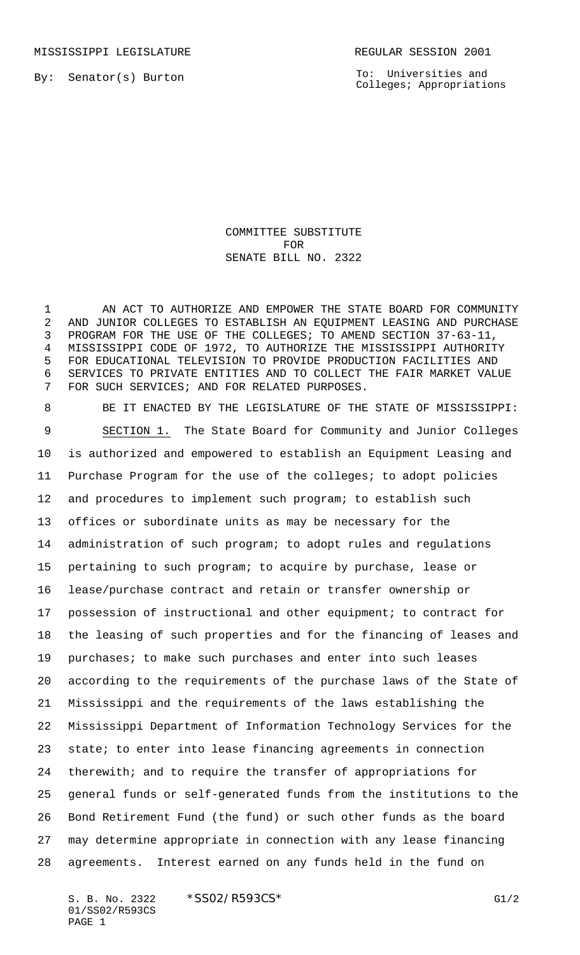MISSISSIPPI LEGISLATURE **REGULAR SESSION 2001** 

To: Universities and Colleges; Appropriations

## COMMITTEE SUBSTITUTE FOR SENATE BILL NO. 2322

1 AN ACT TO AUTHORIZE AND EMPOWER THE STATE BOARD FOR COMMUNITY AND JUNIOR COLLEGES TO ESTABLISH AN EQUIPMENT LEASING AND PURCHASE PROGRAM FOR THE USE OF THE COLLEGES; TO AMEND SECTION 37-63-11, MISSISSIPPI CODE OF 1972, TO AUTHORIZE THE MISSISSIPPI AUTHORITY FOR EDUCATIONAL TELEVISION TO PROVIDE PRODUCTION FACILITIES AND SERVICES TO PRIVATE ENTITIES AND TO COLLECT THE FAIR MARKET VALUE FOR SUCH SERVICES; AND FOR RELATED PURPOSES.

 BE IT ENACTED BY THE LEGISLATURE OF THE STATE OF MISSISSIPPI: SECTION 1. The State Board for Community and Junior Colleges is authorized and empowered to establish an Equipment Leasing and Purchase Program for the use of the colleges; to adopt policies and procedures to implement such program; to establish such offices or subordinate units as may be necessary for the administration of such program; to adopt rules and regulations pertaining to such program; to acquire by purchase, lease or lease/purchase contract and retain or transfer ownership or possession of instructional and other equipment; to contract for the leasing of such properties and for the financing of leases and purchases; to make such purchases and enter into such leases according to the requirements of the purchase laws of the State of Mississippi and the requirements of the laws establishing the Mississippi Department of Information Technology Services for the state; to enter into lease financing agreements in connection therewith; and to require the transfer of appropriations for general funds or self-generated funds from the institutions to the Bond Retirement Fund (the fund) or such other funds as the board may determine appropriate in connection with any lease financing agreements. Interest earned on any funds held in the fund on

S. B. No. 2322 \* SSO2/R593CS\* G1/2 01/SS02/R593CS PAGE 1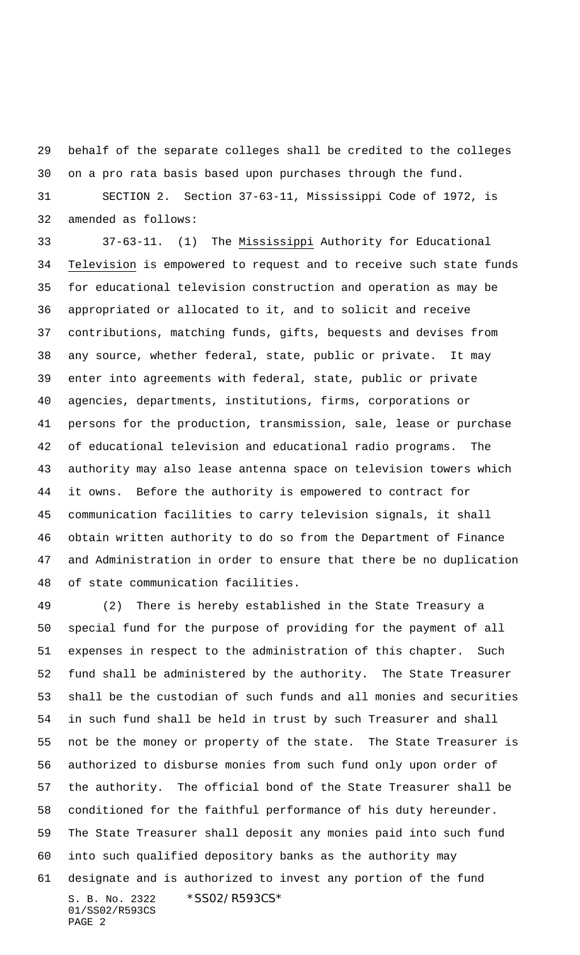behalf of the separate colleges shall be credited to the colleges on a pro rata basis based upon purchases through the fund.

 SECTION 2. Section 37-63-11, Mississippi Code of 1972, is amended as follows:

 37-63-11. (1) The Mississippi Authority for Educational Television is empowered to request and to receive such state funds for educational television construction and operation as may be appropriated or allocated to it, and to solicit and receive contributions, matching funds, gifts, bequests and devises from any source, whether federal, state, public or private. It may enter into agreements with federal, state, public or private agencies, departments, institutions, firms, corporations or persons for the production, transmission, sale, lease or purchase of educational television and educational radio programs. The authority may also lease antenna space on television towers which it owns. Before the authority is empowered to contract for communication facilities to carry television signals, it shall obtain written authority to do so from the Department of Finance and Administration in order to ensure that there be no duplication of state communication facilities.

S. B. No. 2322 \*SS02/R593CS\* 01/SS02/R593CS PAGE 2 (2) There is hereby established in the State Treasury a special fund for the purpose of providing for the payment of all expenses in respect to the administration of this chapter. Such fund shall be administered by the authority. The State Treasurer shall be the custodian of such funds and all monies and securities in such fund shall be held in trust by such Treasurer and shall not be the money or property of the state. The State Treasurer is authorized to disburse monies from such fund only upon order of the authority. The official bond of the State Treasurer shall be conditioned for the faithful performance of his duty hereunder. The State Treasurer shall deposit any monies paid into such fund into such qualified depository banks as the authority may designate and is authorized to invest any portion of the fund